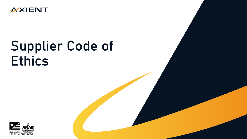

# Supplier Code of **Ethics**

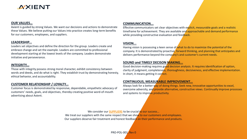# *D***XIENT**

### **OUR VALUES…**

Axient is guided by strong Values. We want our decisions and actions to demonstrate these Values. We believe putting our Values into practice creates long-term benefits for our customers, employees, and suppliers.

# **LEADERSHIP...**

Leaders set objectives and define the direction for the group. Leaders create and embrace change and set the example. Leaders are committed to professional development starting at the lowest levels of the company. Leaders demonstrate initiative and perseverance.

# **INTEGRITY...**

Those with integrity possess strong moral character, exhibit consistency between words and deeds, and do what is right. They establish trust by demonstrating honesty, ethical behavior, and accountability.

# **CUSTOMER RELATIONSHIP / LOYALTY...**

Customer focus is demonstrated by responsive, dependable, empathetic advocacy of customers' needs, goals, and objectives, thereby creating positive word-of-mouth advertising about Axient.

# **COMMUNICATION...**

Effective communicators set clear objectives with explicit, measurable goals and a realistic timeframe for achievement. They are available and approachable and demand performance while providing constructive evaluation and feedback.

## **VISION...**

Having vision is possessing a keen sense of what to do to maximize the potential of the company. It is demonstrated by proactive, forward thinking, and planning that anticipates and delivers performance beyond the company's and customer's current needs.

# **SOUND and TIMELY DECISON MAKING...**

Good decision-making requires good decision analysis. It requires identification of option, clarity of judgment, completeness, thoroughness, decisiveness, and effective implementation. In short, it means getting it correct.

# **CONTINUOUS, MEASURABLE IMPROVEMENT...**

Always look for a better way of doing things. Seek new, innovative opportunities to excel, overcome adversity, and provide alternative, constructive views. Continually improve processes and systems to improve productivity.

We consider our **SUPPLIERS** to be crucial to our success... We treat our suppliers with the same respect that we show to our customers and employees. Our suppliers deserve fair treatment and honest feedback on their performance and products.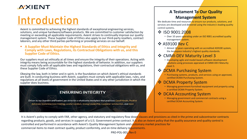

# Introduction

Axient is committed to achieving the highest standards of exceptional engineering services, solutions, and unique hardware/software products. We are committed to customer satisfaction by meeting or exceeding all applicable requirements. Axient strives to continually improve our quality management system. These Supplier Code of Ethics also apply to our third-party resellers, contract laborers, and any other third parties performing or providing services on our behalf.

 **A Supplier Must Maintain the Highest Standards of Ethics and Integrity and Comply with Laws, Regulations, its Contractual Obligations with us, and this Supplier Code of Ethics.**

Our suppliers must act ethically at all times and ensure the integrity of their operations. Acting with integrity means being accountable for the highest standards of behavior. In addition, our suppliers must comply fully with all applicable laws and regulations, their contractual obligations with us, and these Supplier Code of Ethics.

Obeying the law, both in letter and in spirit, is the foundation on which Axient's ethical standards are built. In conducting business with Axient, suppliers must comply with applicable laws, rules, and regulations at all levels of government in the United States and in any other jurisdiction in which the supplier does business.

# **ENSURING INTEGRITY**

Driven by our founders and leaders, we strive for a wholesome workplace that practices: Good Morals, Positive Behavior, Sound Decision Making, Lawful Conduct, Strong Leadership, Customer Satisfaction, and more

# **A Testament To Our Quality Management System**

We dedicate time and resources to ensure our products, solutions, and services are developed and delivered using the industry's leading quality control systems.

# $\cdot$  ISO 9001:2008

• Over 10 years operating under an ISO 9001 accredited quality management system.

# **☆ AS9100 Rev C**

• Almost 10 years operating with an accredited AS9100 system, the Aerospace industry's highest quality standards.

# **❖ CMMI-DEV Maturity Level 3**

• Developing agile and model-based software development solutions using processes appraised at CMMI-DEV Maturity Level 3.

# ❖ **DCMA Purchasing System**

• Purchasing systems, products, and services using an approved, certified DCMA Purchasing System.

# ◆ DCMA Property System

• Managing government-furnished equipment and property using a certified DCMA Property System.

# **❖** DCAA Accounting System

• Managing government and commercial contracts using a certified DCAA Accounting System.

It is Axient's policy to comply with FAR, other agency, and statutory and regulatory flow down clauses and provisions as cited in the prime and subcontractor contracts regarding products, goods, and services in support of a U.S. Government prime contract. It is also an Axient policy that the quality assurance and quality control is controlled and performed in accordance with Axient's Quality Management System and customary market practices for commercial items to meet contract quality, product conformity, and on-time delivery requirements.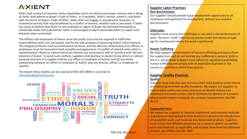# **XXIENT**

Seller shall conduct its business fairly, impartially, and in an ethical and proper manner and in doing so Seller shall adhere to Buyer's Code of Ethics, or if available, Seller's version, which is consistent with the terms of Buyer's Code of Ethics. Seller shall not engage in any personal, business, or investment activity that may be defined as a conflict of interest, whether real or perceived. If Seller has cause to believe that Buyer or any employee or agent of Buyer has behaved improperly or unethically under this Subcontract, Seller is encouraged to exert reasonable effort to report such behavior when warranted.

The officers and employees of Axient serve the public trust and are required to fulfill their responsibilities with care and loyalty and for the sole purpose of advancing Axient's best interests. The integrity of Axient must be protected at all times, and the fiduciary relationship of its officers or employees must be honored in both actuality and appearance. A conflict of interest exists when a representative's direct or indirect personal interests are inconsistent with or interfere with the best interests of Axient. To avoid such conflicts, suppliers shall disclose to Axient (i) any direct or indirect personal interests in a supplier held by any officer or employee of Axient; and (ii) any family relationship between an officer or employee of Axient, and any director, officer, or employee of supplier.

The Axient Ethics Hotline can be reached at 855-347-0894 or via email at [ethicshelp@axientcorp.com.](mailto:ethicshelp@axientcorp.com)



#### **Supplier Labor Practices Non-discrimination**

Our suppliers should provide equal employment opportunity to all employees and applicants for employment, without any unlawful discrimination.

### **Child Labor**

Suppliers must ensure that child labor is not used in the performance of work. The term "child" refers to any person under the minimum legal age for employment where the work is performed.

# **Human Trafficking**

We fully support the elimination of human trafficking and slavery from the supply chain and do not tolerate any trafficking in persons, both in the U.S. and globally. Suppliers must adhere to regulations prohibiting human trafficking and comply with all applicable local laws in the country or countries in which they operate.

# **Supplier Quality Practices Quality**

Suppliers must take due care to ensure their work product meets Axient and federal government quality standards. We expect our suppliers to have in place quality assurance processes to identify defects and implement corrective actions and to facilitate the delivery of a product whose quality meets or exceeds the contract requirements. See FAR 46.101

## **Counterfeit Parts**

We expect our suppliers to develop, implement, and maintain methods and processes appropriate to their products to prevent the introduction of counterfeit parts and materials into deliverable products. Suppliers must ensure that effective processes are in place to detect counterfeit parts and materials, as applicable, and exclude them from the delivered product. See DFARS 252.246-7007 PRO-POL-001, Rev 0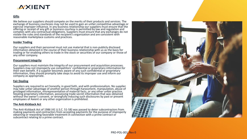

#### **Gifts**

We believe our suppliers should compete on the merits of their products and services. The exchange of business courtesies may not be used to gain an unfair competitive advantage or exercise improper influence. In any business relationship our suppliers must ensure that the offering or receipt of any gift or business courtesy is permitted by law and regulation and complies with any contractual obligations. Suppliers must ensure that any exchanges do not violate the rules and standards of the recipient's organization and are consistent with reasonable marketplace customs and practices.

#### **Insider Trading**

Our suppliers and their personnel must not use material that is non-publicly disclosed information obtained in the course of their business relationship with us as the basis for trading or for enabling others to trade in the stock or securities of our company or those of any other company.

#### **Procurement Integrity**

Our suppliers must maintain the integrity of our procurement and acquisition processes. Suppliers may not improperly use competitors' confidential or proprietary information for their own benefit. If a supplier becomes aware of any such confidential or proprietary information, they should promptly take steps to avoid its improper use and inform our company as appropriate.

#### **Fair Dealing**

Suppliers are required to act honestly, in good faith, and with professionalism. No supplier may take unfair advantage of another person through harassment, manipulation, abuse of privileged information, misrepresentation of material facts, or any other unfair practice. Stealing proprietary information, possessing trade secret information that was obtained without the owner's consent, or wrongfully inducing such disclosures by past or present employees of Axient or any other organization is prohibited.

#### **The Anti-Kickback Act**

The Anti-Kickback Act of 1986 (41 U.S.C. 51-58) was passed to deter subcontractors from making payments and contractors from accepting payments for the purpose of improperly obtaining or rewarding favorable treatment in connection with a prime contract or subcontract relating to a prime contract.

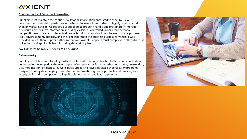

#### **Confidentiality of Sensitive Information**

Suppliers must maintain the confidentiality of all information entrusted to them by us, our customers, or other third parties, except where disclosure is authorized or legally required (and then only after notice). We require our suppliers to properly handle and protect from improper disclosure any sensitive information, including classified, controlled, proprietary, personal, competition-sensitive, and intellectual property. Information should not be used for any purpose (e.g., advertisement, publicity, and the like) other than the business purpose for which it was provided, unless there is prior authorization from Axient. Suppliers must comply with all contractual obligations and applicable laws, including data privacy laws.

See FAR 52.224-17(d) and DFARS 252.204-7000

#### **Cybersecurity**

Suppliers must take care to safeguard and protect information entrusted to them and information generated or developed by them in support of our programs from unauthorized access, destruction, use, modification, or disclosure. We expect suppliers to have risk-based cybersecurity programs designed to mitigate emerging threats to their information systems, products and services, and supply chain and to comply with all applicable contractual and legal requirements.